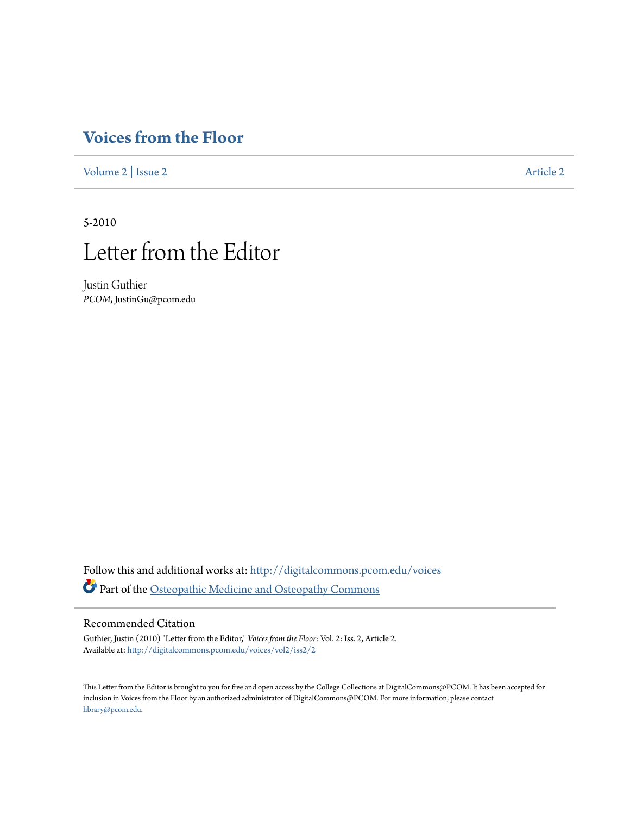## **[Voices from the Floor](http://digitalcommons.pcom.edu/voices?utm_source=digitalcommons.pcom.edu%2Fvoices%2Fvol2%2Fiss2%2F2&utm_medium=PDF&utm_campaign=PDFCoverPages)**

[Volume 2](http://digitalcommons.pcom.edu/voices/vol2?utm_source=digitalcommons.pcom.edu%2Fvoices%2Fvol2%2Fiss2%2F2&utm_medium=PDF&utm_campaign=PDFCoverPages) | [Issue 2](http://digitalcommons.pcom.edu/voices/vol2/iss2?utm_source=digitalcommons.pcom.edu%2Fvoices%2Fvol2%2Fiss2%2F2&utm_medium=PDF&utm_campaign=PDFCoverPages) [Article 2](http://digitalcommons.pcom.edu/voices/vol2/iss2/2?utm_source=digitalcommons.pcom.edu%2Fvoices%2Fvol2%2Fiss2%2F2&utm_medium=PDF&utm_campaign=PDFCoverPages)

5-2010



Justin Guthier *PCOM*, JustinGu@pcom.edu

Follow this and additional works at: [http://digitalcommons.pcom.edu/voices](http://digitalcommons.pcom.edu/voices?utm_source=digitalcommons.pcom.edu%2Fvoices%2Fvol2%2Fiss2%2F2&utm_medium=PDF&utm_campaign=PDFCoverPages) Part of the [Osteopathic Medicine and Osteopathy Commons](http://network.bepress.com/hgg/discipline/697?utm_source=digitalcommons.pcom.edu%2Fvoices%2Fvol2%2Fiss2%2F2&utm_medium=PDF&utm_campaign=PDFCoverPages)

## Recommended Citation

Guthier, Justin (2010) "Letter from the Editor," *Voices from the Floor*: Vol. 2: Iss. 2, Article 2. Available at: [http://digitalcommons.pcom.edu/voices/vol2/iss2/2](http://digitalcommons.pcom.edu/voices/vol2/iss2/2?utm_source=digitalcommons.pcom.edu%2Fvoices%2Fvol2%2Fiss2%2F2&utm_medium=PDF&utm_campaign=PDFCoverPages)

This Letter from the Editor is brought to you for free and open access by the College Collections at DigitalCommons@PCOM. It has been accepted for inclusion in Voices from the Floor by an authorized administrator of DigitalCommons@PCOM. For more information, please contact [library@pcom.edu](mailto:library@pcom.edu).